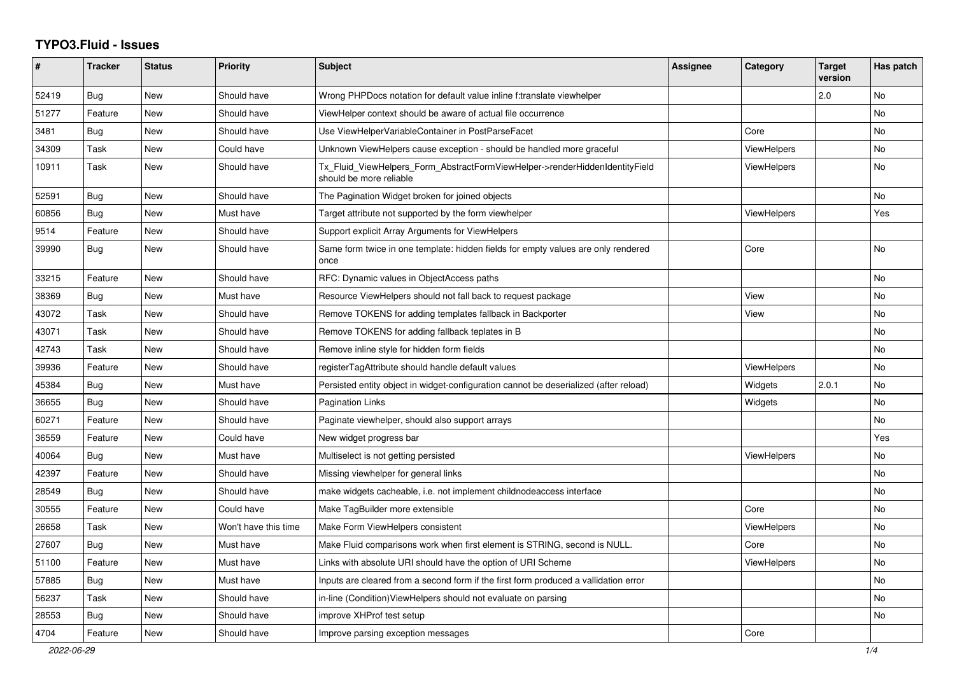## **TYPO3.Fluid - Issues**

| #     | Tracker    | <b>Status</b> | <b>Priority</b>      | <b>Subject</b>                                                                                         | <b>Assignee</b> | Category           | <b>Target</b><br>version | Has patch |
|-------|------------|---------------|----------------------|--------------------------------------------------------------------------------------------------------|-----------------|--------------------|--------------------------|-----------|
| 52419 | Bug        | <b>New</b>    | Should have          | Wrong PHPDocs notation for default value inline f:translate viewhelper                                 |                 |                    | 2.0                      | No        |
| 51277 | Feature    | New           | Should have          | ViewHelper context should be aware of actual file occurrence                                           |                 |                    |                          | No        |
| 3481  | Bug        | New           | Should have          | Use ViewHelperVariableContainer in PostParseFacet                                                      |                 | Core               |                          | No        |
| 34309 | Task       | New           | Could have           | Unknown ViewHelpers cause exception - should be handled more graceful                                  |                 | <b>ViewHelpers</b> |                          | No        |
| 10911 | Task       | <b>New</b>    | Should have          | Tx_Fluid_ViewHelpers_Form_AbstractFormViewHelper->renderHiddenIdentityField<br>should be more reliable |                 | <b>ViewHelpers</b> |                          | No        |
| 52591 | Bug        | <b>New</b>    | Should have          | The Pagination Widget broken for joined objects                                                        |                 |                    |                          | <b>No</b> |
| 60856 | <b>Bug</b> | <b>New</b>    | Must have            | Target attribute not supported by the form viewhelper                                                  |                 | ViewHelpers        |                          | Yes       |
| 9514  | Feature    | New           | Should have          | Support explicit Array Arguments for ViewHelpers                                                       |                 |                    |                          |           |
| 39990 | <b>Bug</b> | New           | Should have          | Same form twice in one template: hidden fields for empty values are only rendered<br>once              |                 | Core               |                          | No        |
| 33215 | Feature    | <b>New</b>    | Should have          | RFC: Dynamic values in ObjectAccess paths                                                              |                 |                    |                          | <b>No</b> |
| 38369 | Bug        | New           | Must have            | Resource ViewHelpers should not fall back to request package                                           |                 | View               |                          | No        |
| 43072 | Task       | New           | Should have          | Remove TOKENS for adding templates fallback in Backporter                                              |                 | View               |                          | No        |
| 43071 | Task       | New           | Should have          | Remove TOKENS for adding fallback teplates in B                                                        |                 |                    |                          | No        |
| 42743 | Task       | <b>New</b>    | Should have          | Remove inline style for hidden form fields                                                             |                 |                    |                          | No        |
| 39936 | Feature    | New           | Should have          | registerTagAttribute should handle default values                                                      |                 | ViewHelpers        |                          | <b>No</b> |
| 45384 | Bug        | <b>New</b>    | Must have            | Persisted entity object in widget-configuration cannot be deserialized (after reload)                  |                 | Widgets            | 2.0.1                    | <b>No</b> |
| 36655 | Bug        | <b>New</b>    | Should have          | Pagination Links                                                                                       |                 | Widgets            |                          | <b>No</b> |
| 60271 | Feature    | New           | Should have          | Paginate viewhelper, should also support arrays                                                        |                 |                    |                          | <b>No</b> |
| 36559 | Feature    | New           | Could have           | New widget progress bar                                                                                |                 |                    |                          | Yes       |
| 40064 | Bug        | New           | Must have            | Multiselect is not getting persisted                                                                   |                 | <b>ViewHelpers</b> |                          | No        |
| 42397 | Feature    | New           | Should have          | Missing viewhelper for general links                                                                   |                 |                    |                          | No        |
| 28549 | Bug        | <b>New</b>    | Should have          | make widgets cacheable, i.e. not implement childnodeaccess interface                                   |                 |                    |                          | <b>No</b> |
| 30555 | Feature    | New           | Could have           | Make TagBuilder more extensible                                                                        |                 | Core               |                          | <b>No</b> |
| 26658 | Task       | New           | Won't have this time | Make Form ViewHelpers consistent                                                                       |                 | <b>ViewHelpers</b> |                          | No.       |
| 27607 | Bug        | New           | Must have            | Make Fluid comparisons work when first element is STRING, second is NULL.                              |                 | Core               |                          | No        |
| 51100 | Feature    | New           | Must have            | Links with absolute URI should have the option of URI Scheme                                           |                 | <b>ViewHelpers</b> |                          | <b>No</b> |
| 57885 | Bug        | <b>New</b>    | Must have            | Inputs are cleared from a second form if the first form produced a vallidation error                   |                 |                    |                          | <b>No</b> |
| 56237 | Task       | New           | Should have          | in-line (Condition) View Helpers should not evaluate on parsing                                        |                 |                    |                          | No        |
| 28553 | Bug        | <b>New</b>    | Should have          | improve XHProf test setup                                                                              |                 |                    |                          | No        |
| 4704  | Feature    | <b>New</b>    | Should have          | Improve parsing exception messages                                                                     |                 | Core               |                          |           |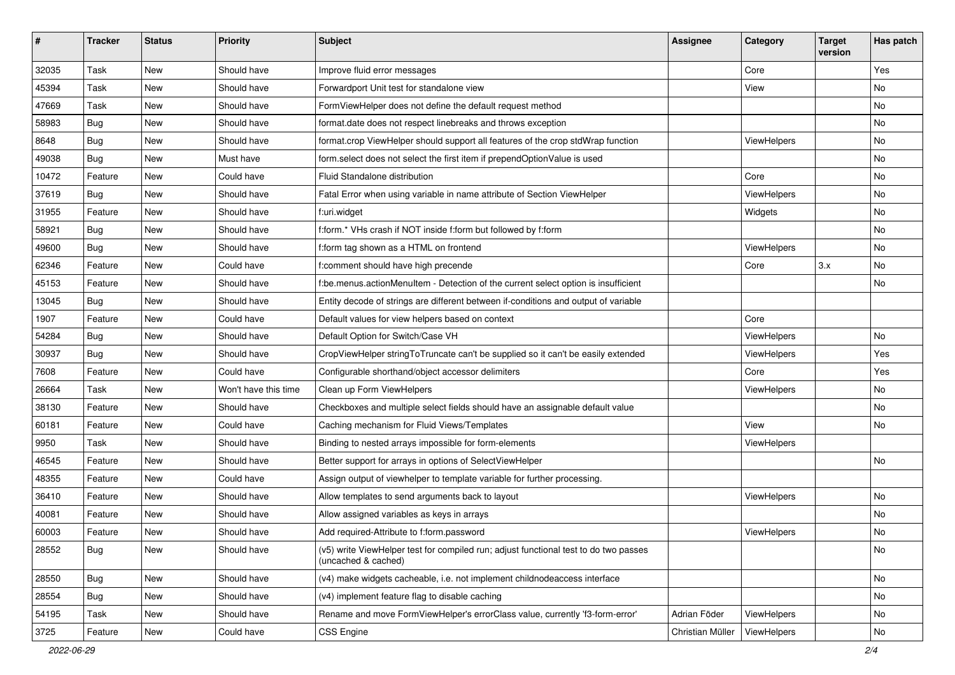| $\sharp$ | <b>Tracker</b> | <b>Status</b> | <b>Priority</b>      | Subject                                                                                                     | <b>Assignee</b>  | Category    | <b>Target</b><br>version | Has patch |
|----------|----------------|---------------|----------------------|-------------------------------------------------------------------------------------------------------------|------------------|-------------|--------------------------|-----------|
| 32035    | Task           | New           | Should have          | Improve fluid error messages                                                                                |                  | Core        |                          | Yes       |
| 45394    | Task           | New           | Should have          | Forwardport Unit test for standalone view                                                                   |                  | View        |                          | No        |
| 47669    | Task           | New           | Should have          | FormViewHelper does not define the default request method                                                   |                  |             |                          | No        |
| 58983    | Bug            | New           | Should have          | format.date does not respect linebreaks and throws exception                                                |                  |             |                          | No        |
| 8648     | Bug            | New           | Should have          | format.crop ViewHelper should support all features of the crop stdWrap function                             |                  | ViewHelpers |                          | No        |
| 49038    | Bug            | New           | Must have            | form.select does not select the first item if prependOptionValue is used                                    |                  |             |                          | <b>No</b> |
| 10472    | Feature        | New           | Could have           | Fluid Standalone distribution                                                                               |                  | Core        |                          | No        |
| 37619    | Bug            | <b>New</b>    | Should have          | Fatal Error when using variable in name attribute of Section ViewHelper                                     |                  | ViewHelpers |                          | No        |
| 31955    | Feature        | New           | Should have          | f:uri.widget                                                                                                |                  | Widgets     |                          | No        |
| 58921    | Bug            | New           | Should have          | f:form.* VHs crash if NOT inside f:form but followed by f:form                                              |                  |             |                          | No        |
| 49600    | Bug            | New           | Should have          | f:form tag shown as a HTML on frontend                                                                      |                  | ViewHelpers |                          | No        |
| 62346    | Feature        | New           | Could have           | f:comment should have high precende                                                                         |                  | Core        | 3.x                      | No        |
| 45153    | Feature        | New           | Should have          | f:be.menus.actionMenuItem - Detection of the current select option is insufficient                          |                  |             |                          | No        |
| 13045    | Bug            | New           | Should have          | Entity decode of strings are different between if-conditions and output of variable                         |                  |             |                          |           |
| 1907     | Feature        | New           | Could have           | Default values for view helpers based on context                                                            |                  | Core        |                          |           |
| 54284    | Bug            | New           | Should have          | Default Option for Switch/Case VH                                                                           |                  | ViewHelpers |                          | No        |
| 30937    | Bug            | New           | Should have          | CropViewHelper stringToTruncate can't be supplied so it can't be easily extended                            |                  | ViewHelpers |                          | Yes       |
| 7608     | Feature        | New           | Could have           | Configurable shorthand/object accessor delimiters                                                           |                  | Core        |                          | Yes       |
| 26664    | Task           | <b>New</b>    | Won't have this time | Clean up Form ViewHelpers                                                                                   |                  | ViewHelpers |                          | No        |
| 38130    | Feature        | New           | Should have          | Checkboxes and multiple select fields should have an assignable default value                               |                  |             |                          | No        |
| 60181    | Feature        | New           | Could have           | Caching mechanism for Fluid Views/Templates                                                                 |                  | View        |                          | No        |
| 9950     | Task           | New           | Should have          | Binding to nested arrays impossible for form-elements                                                       |                  | ViewHelpers |                          |           |
| 46545    | Feature        | New           | Should have          | Better support for arrays in options of SelectViewHelper                                                    |                  |             |                          | No        |
| 48355    | Feature        | New           | Could have           | Assign output of viewhelper to template variable for further processing.                                    |                  |             |                          |           |
| 36410    | Feature        | New           | Should have          | Allow templates to send arguments back to layout                                                            |                  | ViewHelpers |                          | No        |
| 40081    | Feature        | New           | Should have          | Allow assigned variables as keys in arrays                                                                  |                  |             |                          | <b>No</b> |
| 60003    | Feature        | New           | Should have          | Add required-Attribute to f:form.password                                                                   |                  | ViewHelpers |                          | No        |
| 28552    | <b>Bug</b>     | New           | Should have          | (v5) write ViewHelper test for compiled run; adjust functional test to do two passes<br>(uncached & cached) |                  |             |                          | No        |
| 28550    | <b>Bug</b>     | New           | Should have          | (v4) make widgets cacheable, i.e. not implement childnodeaccess interface                                   |                  |             |                          | No        |
| 28554    | Bug            | New           | Should have          | (v4) implement feature flag to disable caching                                                              |                  |             |                          | No        |
| 54195    | Task           | New           | Should have          | Rename and move FormViewHelper's errorClass value, currently 'f3-form-error'                                | Adrian Föder     | ViewHelpers |                          | No        |
| 3725     | Feature        | New           | Could have           | CSS Engine                                                                                                  | Christian Müller | ViewHelpers |                          | No        |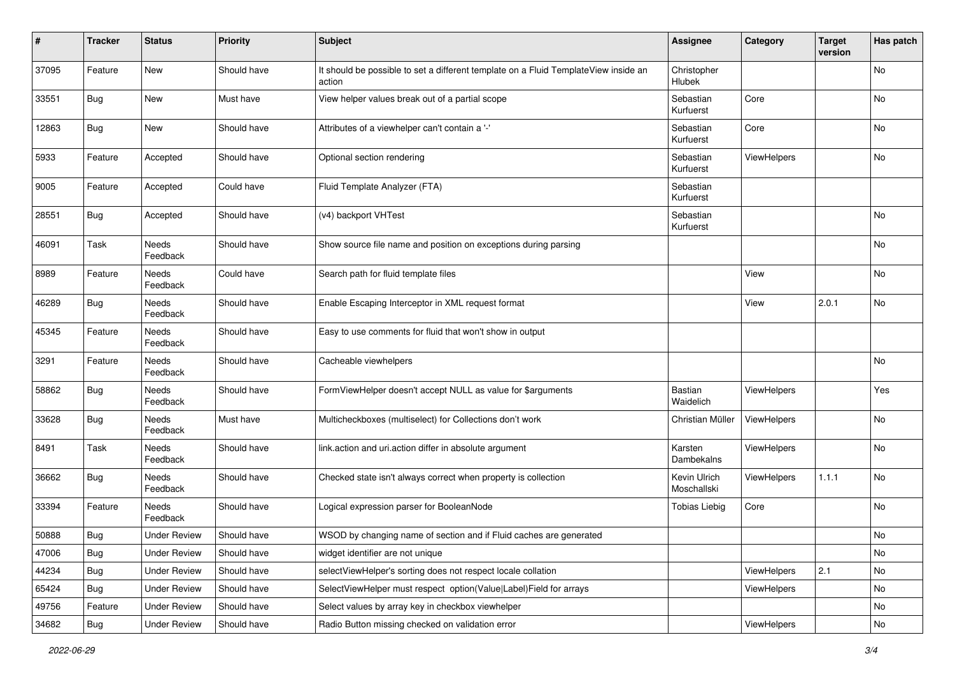| ∦     | <b>Tracker</b> | <b>Status</b>            | <b>Priority</b> | <b>Subject</b>                                                                                | <b>Assignee</b>              | Category           | <b>Target</b><br>version | Has patch |
|-------|----------------|--------------------------|-----------------|-----------------------------------------------------------------------------------------------|------------------------------|--------------------|--------------------------|-----------|
| 37095 | Feature        | New                      | Should have     | It should be possible to set a different template on a Fluid TemplateView inside an<br>action | Christopher<br><b>Hlubek</b> |                    |                          | No        |
| 33551 | Bug            | New                      | Must have       | View helper values break out of a partial scope                                               | Sebastian<br>Kurfuerst       | Core               |                          | No        |
| 12863 | <b>Bug</b>     | New                      | Should have     | Attributes of a viewhelper can't contain a '-'                                                | Sebastian<br>Kurfuerst       | Core               |                          | No        |
| 5933  | Feature        | Accepted                 | Should have     | Optional section rendering                                                                    | Sebastian<br>Kurfuerst       | <b>ViewHelpers</b> |                          | <b>No</b> |
| 9005  | Feature        | Accepted                 | Could have      | Fluid Template Analyzer (FTA)                                                                 | Sebastian<br>Kurfuerst       |                    |                          |           |
| 28551 | <b>Bug</b>     | Accepted                 | Should have     | (v4) backport VHTest                                                                          | Sebastian<br>Kurfuerst       |                    |                          | <b>No</b> |
| 46091 | Task           | Needs<br>Feedback        | Should have     | Show source file name and position on exceptions during parsing                               |                              |                    |                          | <b>No</b> |
| 8989  | Feature        | Needs<br>Feedback        | Could have      | Search path for fluid template files                                                          |                              | View               |                          | No        |
| 46289 | <b>Bug</b>     | Needs<br>Feedback        | Should have     | Enable Escaping Interceptor in XML request format                                             |                              | View               | 2.0.1                    | No        |
| 45345 | Feature        | Needs<br>Feedback        | Should have     | Easy to use comments for fluid that won't show in output                                      |                              |                    |                          |           |
| 3291  | Feature        | Needs<br>Feedback        | Should have     | Cacheable viewhelpers                                                                         |                              |                    |                          | No        |
| 58862 | <b>Bug</b>     | <b>Needs</b><br>Feedback | Should have     | FormViewHelper doesn't accept NULL as value for \$arguments                                   | Bastian<br>Waidelich         | ViewHelpers        |                          | Yes       |
| 33628 | <b>Bug</b>     | <b>Needs</b><br>Feedback | Must have       | Multicheckboxes (multiselect) for Collections don't work                                      | Christian Müller             | ViewHelpers        |                          | <b>No</b> |
| 8491  | Task           | Needs<br>Feedback        | Should have     | link.action and uri.action differ in absolute argument                                        | Karsten<br>Dambekalns        | ViewHelpers        |                          | <b>No</b> |
| 36662 | <b>Bug</b>     | <b>Needs</b><br>Feedback | Should have     | Checked state isn't always correct when property is collection                                | Kevin Ulrich<br>Moschallski  | ViewHelpers        | 1.1.1                    | No        |
| 33394 | Feature        | Needs<br>Feedback        | Should have     | Logical expression parser for BooleanNode                                                     | <b>Tobias Liebig</b>         | Core               |                          | No        |
| 50888 | Bug            | <b>Under Review</b>      | Should have     | WSOD by changing name of section and if Fluid caches are generated                            |                              |                    |                          | <b>No</b> |
| 47006 | <b>Bug</b>     | <b>Under Review</b>      | Should have     | widget identifier are not unique                                                              |                              |                    |                          | No        |
| 44234 | <b>Bug</b>     | <b>Under Review</b>      | Should have     | selectViewHelper's sorting does not respect locale collation                                  |                              | ViewHelpers        | 2.1                      | No        |
| 65424 | <b>Bug</b>     | <b>Under Review</b>      | Should have     | SelectViewHelper must respect option(Value Label)Field for arrays                             |                              | ViewHelpers        |                          | No        |
| 49756 | Feature        | <b>Under Review</b>      | Should have     | Select values by array key in checkbox viewhelper                                             |                              |                    |                          | No        |
| 34682 | Bug            | <b>Under Review</b>      | Should have     | Radio Button missing checked on validation error                                              |                              | ViewHelpers        |                          | No        |